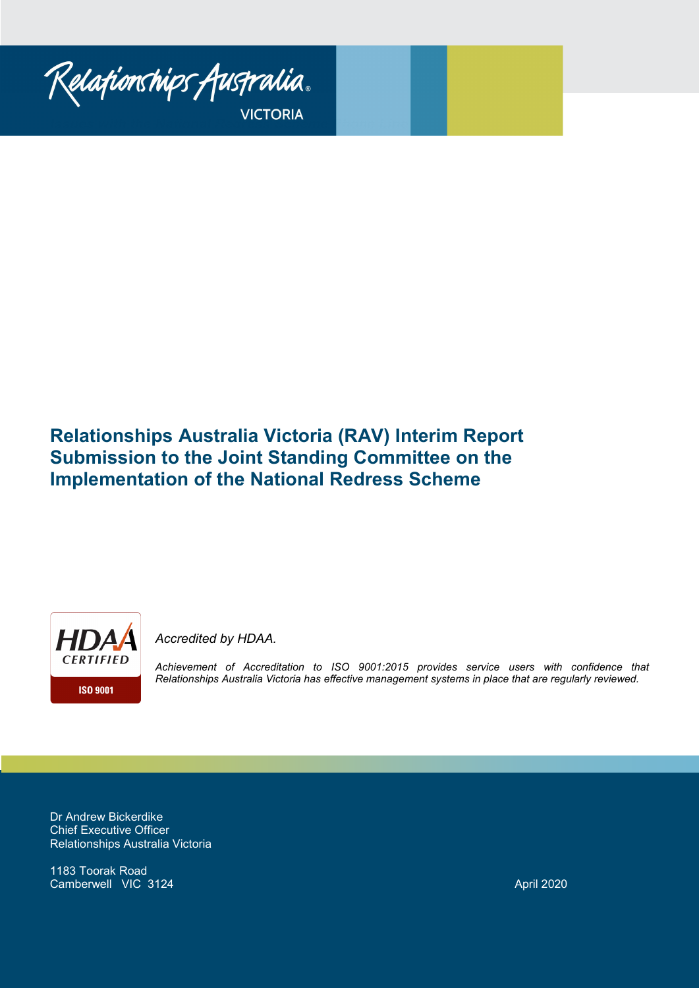

*Issues with the National Redress Scheme Phone Line*

# **Relationships Australia Victoria (RAV) Interim Report Submission to the Joint Standing Committee on the Implementation of the National Redress Scheme**



*Accredited by HDAA.* 

*Achievement of Accreditation to ISO 9001:2015 provides service users with confidence that Relationships Australia Victoria has effective management systems in place that are regularly reviewed.*

Dr Andrew Bickerdike Chief Executive Officer Relationships Australia Victoria

1183 Toorak Road Camberwell VIC 3124 April 2020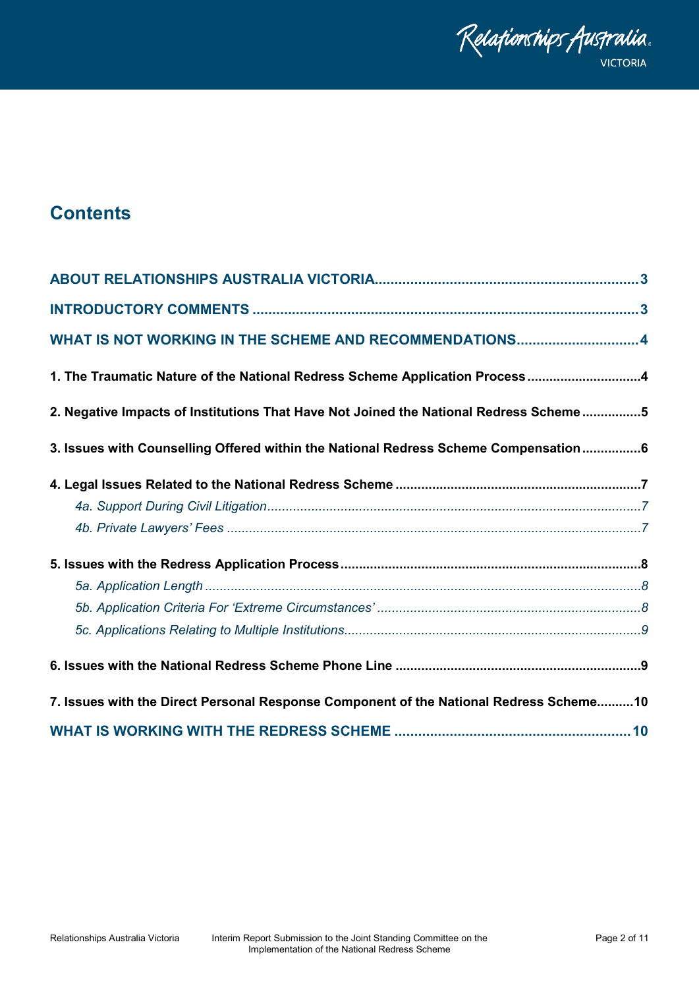

## **Contents**

| WHAT IS NOT WORKING IN THE SCHEME AND RECOMMENDATIONS 4                                 |
|-----------------------------------------------------------------------------------------|
| 1. The Traumatic Nature of the National Redress Scheme Application Process4             |
| 2. Negative Impacts of Institutions That Have Not Joined the National Redress Scheme5   |
| 3. Issues with Counselling Offered within the National Redress Scheme Compensation6     |
|                                                                                         |
|                                                                                         |
|                                                                                         |
|                                                                                         |
|                                                                                         |
|                                                                                         |
|                                                                                         |
|                                                                                         |
| 7. Issues with the Direct Personal Response Component of the National Redress Scheme 10 |
|                                                                                         |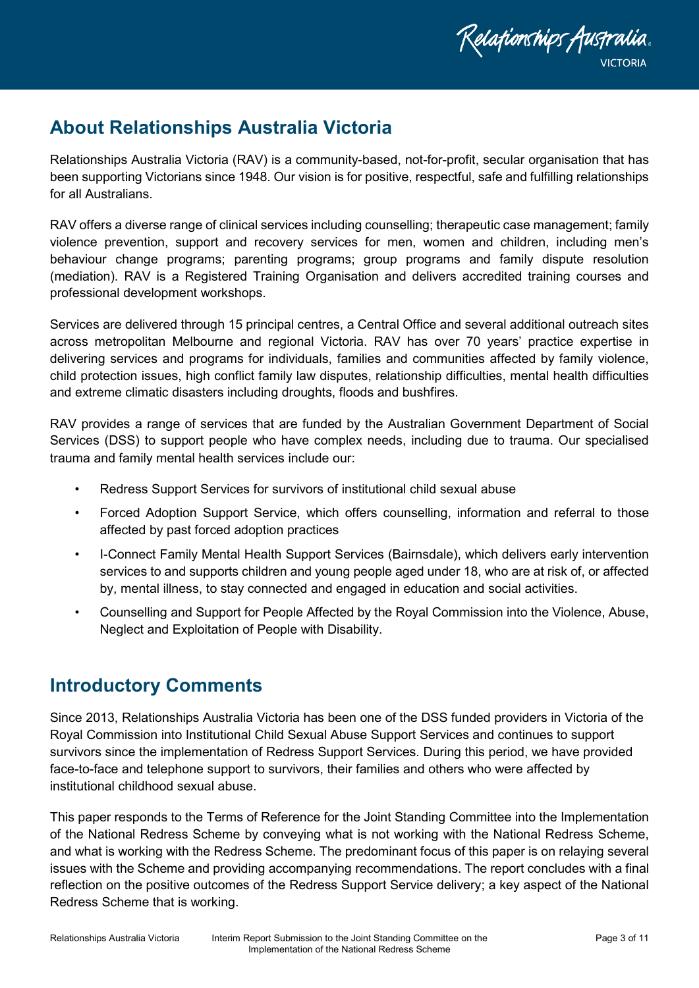

## <span id="page-2-0"></span>**About Relationships Australia Victoria**

Relationships Australia Victoria (RAV) is a community-based, not-for-profit, secular organisation that has been supporting Victorians since 1948. Our vision is for positive, respectful, safe and fulfilling relationships for all Australians.

RAV offers a diverse range of clinical services including counselling; therapeutic case management; family violence prevention, support and recovery services for men, women and children, including men's behaviour change programs; parenting programs; group programs and family dispute resolution (mediation). RAV is a Registered Training Organisation and delivers accredited training courses and professional development workshops.

Services are delivered through 15 principal centres, a Central Office and several additional outreach sites across metropolitan Melbourne and regional Victoria. RAV has over 70 years' practice expertise in delivering services and programs for individuals, families and communities affected by family violence, child protection issues, high conflict family law disputes, relationship difficulties, mental health difficulties and extreme climatic disasters including droughts, floods and bushfires.

RAV provides a range of services that are funded by the Australian Government Department of Social Services (DSS) to support people who have complex needs, including due to trauma. Our specialised trauma and family mental health services include our:

- Redress Support Services for survivors of institutional child sexual abuse
- Forced Adoption Support Service, which offers counselling, information and referral to those affected by past forced adoption practices
- I-Connect Family Mental Health Support Services (Bairnsdale), which delivers early intervention services to and supports children and young people aged under 18, who are at risk of, or affected by, mental illness, to stay connected and engaged in education and social activities.
- Counselling and Support for People Affected by the Royal Commission into the Violence, Abuse, Neglect and Exploitation of People with Disability.

## <span id="page-2-1"></span>**Introductory Comments**

Since 2013, Relationships Australia Victoria has been one of the DSS funded providers in Victoria of the Royal Commission into Institutional Child Sexual Abuse Support Services and continues to support survivors since the implementation of Redress Support Services. During this period, we have provided face-to-face and telephone support to survivors, their families and others who were affected by institutional childhood sexual abuse.

This paper responds to the Terms of Reference for the Joint Standing Committee into the Implementation of the National Redress Scheme by conveying what is not working with the National Redress Scheme, and what is working with the Redress Scheme. The predominant focus of this paper is on relaying several issues with the Scheme and providing accompanying recommendations. The report concludes with a final reflection on the positive outcomes of the Redress Support Service delivery; a key aspect of the National Redress Scheme that is working.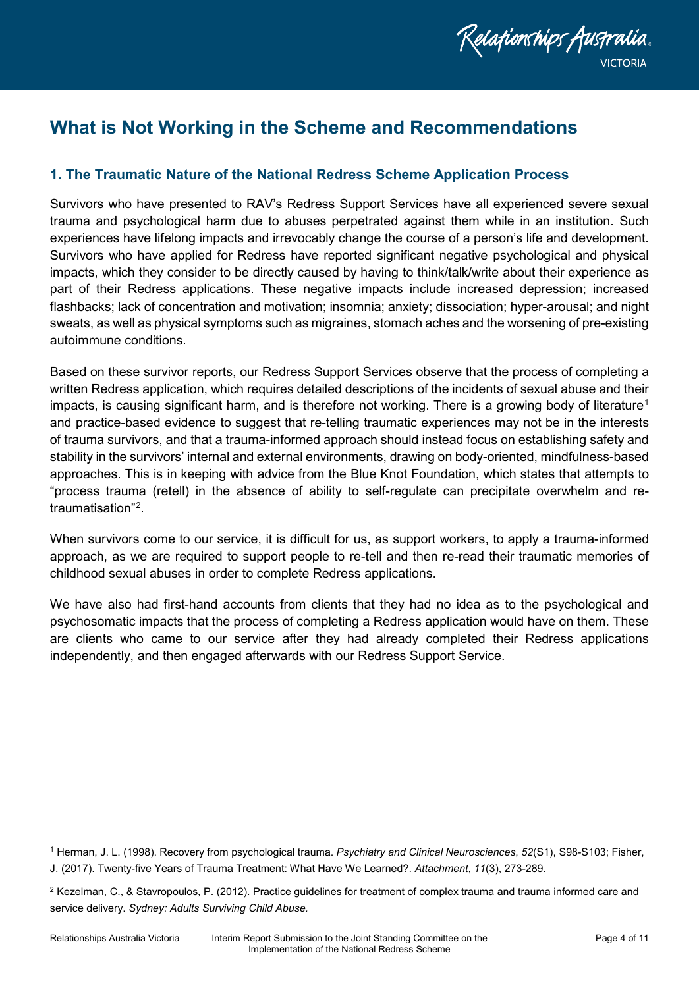

## <span id="page-3-0"></span>**What is Not Working in the Scheme and Recommendations**

### <span id="page-3-1"></span>**1. The Traumatic Nature of the National Redress Scheme Application Process**

Survivors who have presented to RAV's Redress Support Services have all experienced severe sexual trauma and psychological harm due to abuses perpetrated against them while in an institution. Such experiences have lifelong impacts and irrevocably change the course of a person's life and development. Survivors who have applied for Redress have reported significant negative psychological and physical impacts, which they consider to be directly caused by having to think/talk/write about their experience as part of their Redress applications. These negative impacts include increased depression; increased flashbacks; lack of concentration and motivation; insomnia; anxiety; dissociation; hyper-arousal; and night sweats, as well as physical symptoms such as migraines, stomach aches and the worsening of pre-existing autoimmune conditions.

Based on these survivor reports, our Redress Support Services observe that the process of completing a written Redress application, which requires detailed descriptions of the incidents of sexual abuse and their impacts, is causing significant harm, and is therefore not working. There is a growing body of literature<sup>[1](#page-3-2)</sup> and practice-based evidence to suggest that re-telling traumatic experiences may not be in the interests of trauma survivors, and that a trauma-informed approach should instead focus on establishing safety and stability in the survivors' internal and external environments, drawing on body-oriented, mindfulness-based approaches. This is in keeping with advice from the Blue Knot Foundation, which states that attempts to "process trauma (retell) in the absence of ability to self-regulate can precipitate overwhelm and retraumatisation"[2](#page-3-3) .

When survivors come to our service, it is difficult for us, as support workers, to apply a trauma-informed approach, as we are required to support people to re-tell and then re-read their traumatic memories of childhood sexual abuses in order to complete Redress applications.

We have also had first-hand accounts from clients that they had no idea as to the psychological and psychosomatic impacts that the process of completing a Redress application would have on them. These are clients who came to our service after they had already completed their Redress applications independently, and then engaged afterwards with our Redress Support Service.

l

<span id="page-3-2"></span><sup>1</sup> Herman, J. L. (1998). Recovery from psychological trauma. *Psychiatry and Clinical Neurosciences*, *52*(S1), S98-S103; Fisher, J. (2017). Twenty-five Years of Trauma Treatment: What Have We Learned?. *Attachment*, *11*(3), 273-289.

<span id="page-3-3"></span><sup>2</sup> Kezelman, C., & Stavropoulos, P. (2012). Practice guidelines for treatment of complex trauma and trauma informed care and service delivery. *Sydney: Adults Surviving Child Abuse.*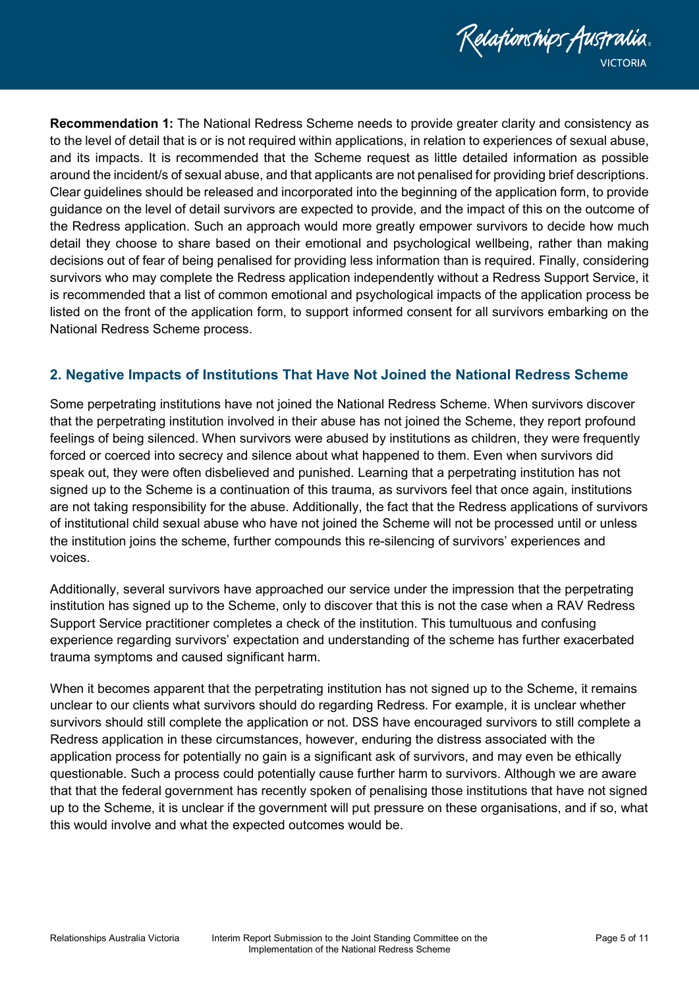

**Recommendation 1:** The National Redress Scheme needs to provide greater clarity and consistency as to the level of detail that is or is not required within applications, in relation to experiences of sexual abuse, and its impacts. It is recommended that the Scheme request as little detailed information as possible around the incident/s of sexual abuse, and that applicants are not penalised for providing brief descriptions. Clear guidelines should be released and incorporated into the beginning of the application form, to provide guidance on the level of detail survivors are expected to provide, and the impact of this on the outcome of the Redress application. Such an approach would more greatly empower survivors to decide how much detail they choose to share based on their emotional and psychological wellbeing, rather than making decisions out of fear of being penalised for providing less information than is required. Finally, considering survivors who may complete the Redress application independently without a Redress Support Service, it is recommended that a list of common emotional and psychological impacts of the application process be listed on the front of the application form, to support informed consent for all survivors embarking on the National Redress Scheme process.

### <span id="page-4-0"></span>**2. Negative Impacts of Institutions That Have Not Joined the National Redress Scheme**

Some perpetrating institutions have not joined the National Redress Scheme. When survivors discover that the perpetrating institution involved in their abuse has not joined the Scheme, they report profound feelings of being silenced. When survivors were abused by institutions as children, they were frequently forced or coerced into secrecy and silence about what happened to them. Even when survivors did speak out, they were often disbelieved and punished. Learning that a perpetrating institution has not signed up to the Scheme is a continuation of this trauma, as survivors feel that once again, institutions are not taking responsibility for the abuse. Additionally, the fact that the Redress applications of survivors of institutional child sexual abuse who have not joined the Scheme will not be processed until or unless the institution joins the scheme, further compounds this re-silencing of survivors' experiences and voices.

Additionally, several survivors have approached our service under the impression that the perpetrating institution has signed up to the Scheme, only to discover that this is not the case when a RAV Redress Support Service practitioner completes a check of the institution. This tumultuous and confusing experience regarding survivors' expectation and understanding of the scheme has further exacerbated trauma symptoms and caused significant harm.

When it becomes apparent that the perpetrating institution has not signed up to the Scheme, it remains unclear to our clients what survivors should do regarding Redress. For example, it is unclear whether survivors should still complete the application or not. DSS have encouraged survivors to still complete a Redress application in these circumstances, however, enduring the distress associated with the application process for potentially no gain is a significant ask of survivors, and may even be ethically questionable. Such a process could potentially cause further harm to survivors. Although we are aware that that the federal government has recently spoken of penalising those institutions that have not signed up to the Scheme, it is unclear if the government will put pressure on these organisations, and if so, what this would involve and what the expected outcomes would be.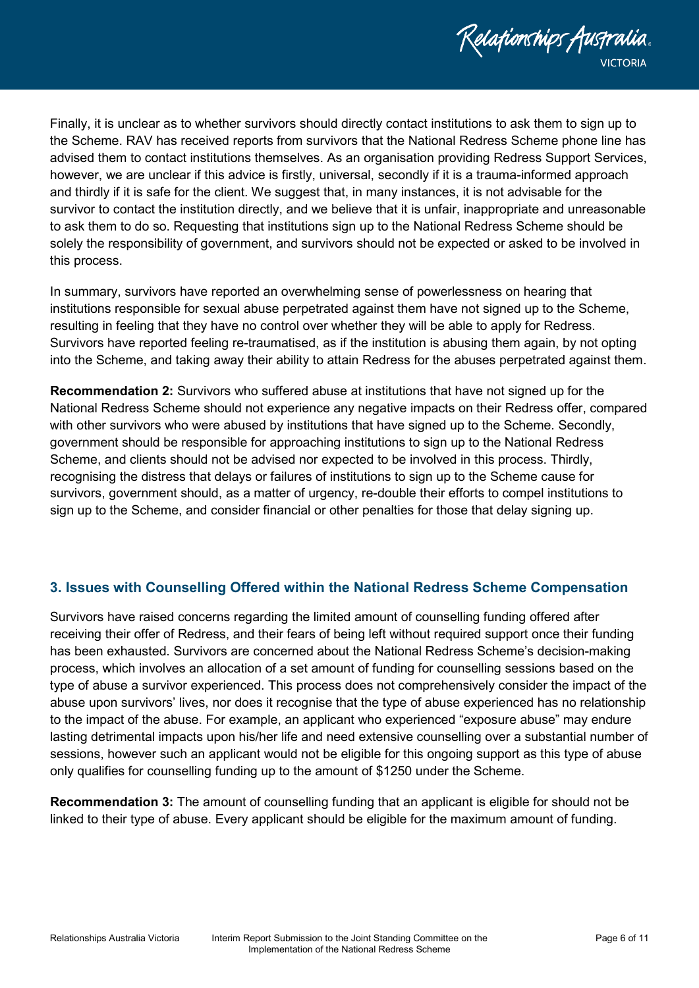

Finally, it is unclear as to whether survivors should directly contact institutions to ask them to sign up to the Scheme. RAV has received reports from survivors that the National Redress Scheme phone line has advised them to contact institutions themselves. As an organisation providing Redress Support Services, however, we are unclear if this advice is firstly, universal, secondly if it is a trauma-informed approach and thirdly if it is safe for the client. We suggest that, in many instances, it is not advisable for the survivor to contact the institution directly, and we believe that it is unfair, inappropriate and unreasonable to ask them to do so. Requesting that institutions sign up to the National Redress Scheme should be solely the responsibility of government, and survivors should not be expected or asked to be involved in this process.

In summary, survivors have reported an overwhelming sense of powerlessness on hearing that institutions responsible for sexual abuse perpetrated against them have not signed up to the Scheme, resulting in feeling that they have no control over whether they will be able to apply for Redress. Survivors have reported feeling re-traumatised, as if the institution is abusing them again, by not opting into the Scheme, and taking away their ability to attain Redress for the abuses perpetrated against them.

**Recommendation 2:** Survivors who suffered abuse at institutions that have not signed up for the National Redress Scheme should not experience any negative impacts on their Redress offer, compared with other survivors who were abused by institutions that have signed up to the Scheme. Secondly, government should be responsible for approaching institutions to sign up to the National Redress Scheme, and clients should not be advised nor expected to be involved in this process. Thirdly, recognising the distress that delays or failures of institutions to sign up to the Scheme cause for survivors, government should, as a matter of urgency, re-double their efforts to compel institutions to sign up to the Scheme, and consider financial or other penalties for those that delay signing up.

### <span id="page-5-0"></span>**3. Issues with Counselling Offered within the National Redress Scheme Compensation**

Survivors have raised concerns regarding the limited amount of counselling funding offered after receiving their offer of Redress, and their fears of being left without required support once their funding has been exhausted. Survivors are concerned about the National Redress Scheme's decision-making process, which involves an allocation of a set amount of funding for counselling sessions based on the type of abuse a survivor experienced. This process does not comprehensively consider the impact of the abuse upon survivors' lives, nor does it recognise that the type of abuse experienced has no relationship to the impact of the abuse. For example, an applicant who experienced "exposure abuse" may endure lasting detrimental impacts upon his/her life and need extensive counselling over a substantial number of sessions, however such an applicant would not be eligible for this ongoing support as this type of abuse only qualifies for counselling funding up to the amount of \$1250 under the Scheme.

**Recommendation 3:** The amount of counselling funding that an applicant is eligible for should not be linked to their type of abuse. Every applicant should be eligible for the maximum amount of funding.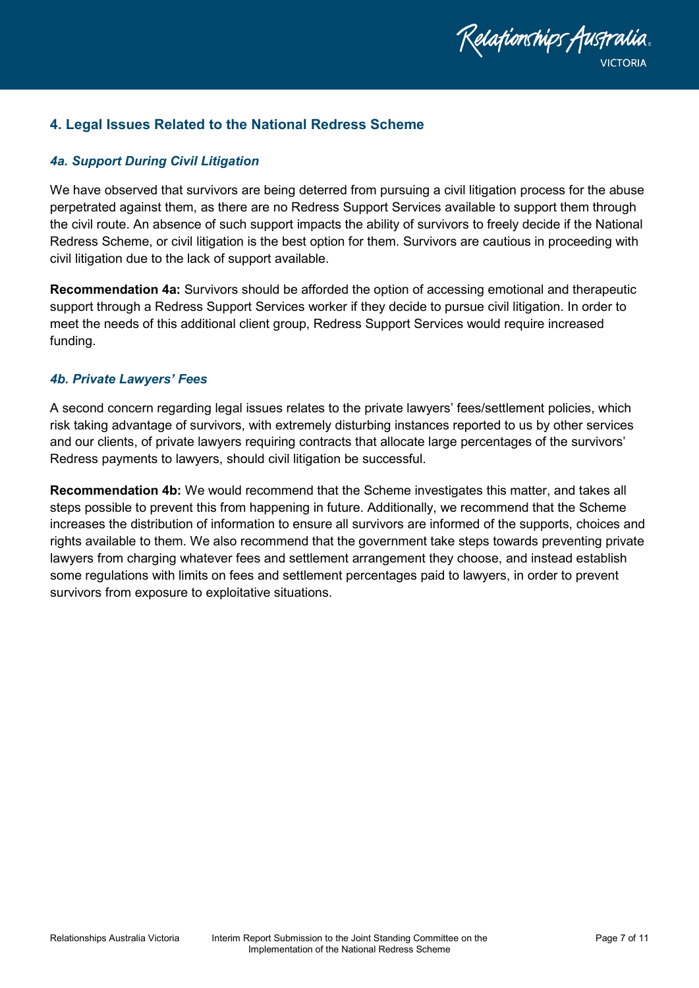

#### <span id="page-6-0"></span>**4. Legal Issues Related to the National Redress Scheme**

#### <span id="page-6-1"></span>*4a. Support During Civil Litigation*

We have observed that survivors are being deterred from pursuing a civil litigation process for the abuse perpetrated against them, as there are no Redress Support Services available to support them through the civil route. An absence of such support impacts the ability of survivors to freely decide if the National Redress Scheme, or civil litigation is the best option for them. Survivors are cautious in proceeding with civil litigation due to the lack of support available.

**Recommendation 4a:** Survivors should be afforded the option of accessing emotional and therapeutic support through a Redress Support Services worker if they decide to pursue civil litigation. In order to meet the needs of this additional client group, Redress Support Services would require increased funding.

#### <span id="page-6-2"></span>*4b. Private Lawyers' Fees*

A second concern regarding legal issues relates to the private lawyers' fees/settlement policies, which risk taking advantage of survivors, with extremely disturbing instances reported to us by other services and our clients, of private lawyers requiring contracts that allocate large percentages of the survivors' Redress payments to lawyers, should civil litigation be successful.

**Recommendation 4b:** We would recommend that the Scheme investigates this matter, and takes all steps possible to prevent this from happening in future. Additionally, we recommend that the Scheme increases the distribution of information to ensure all survivors are informed of the supports, choices and rights available to them. We also recommend that the government take steps towards preventing private lawyers from charging whatever fees and settlement arrangement they choose, and instead establish some regulations with limits on fees and settlement percentages paid to lawyers, in order to prevent survivors from exposure to exploitative situations.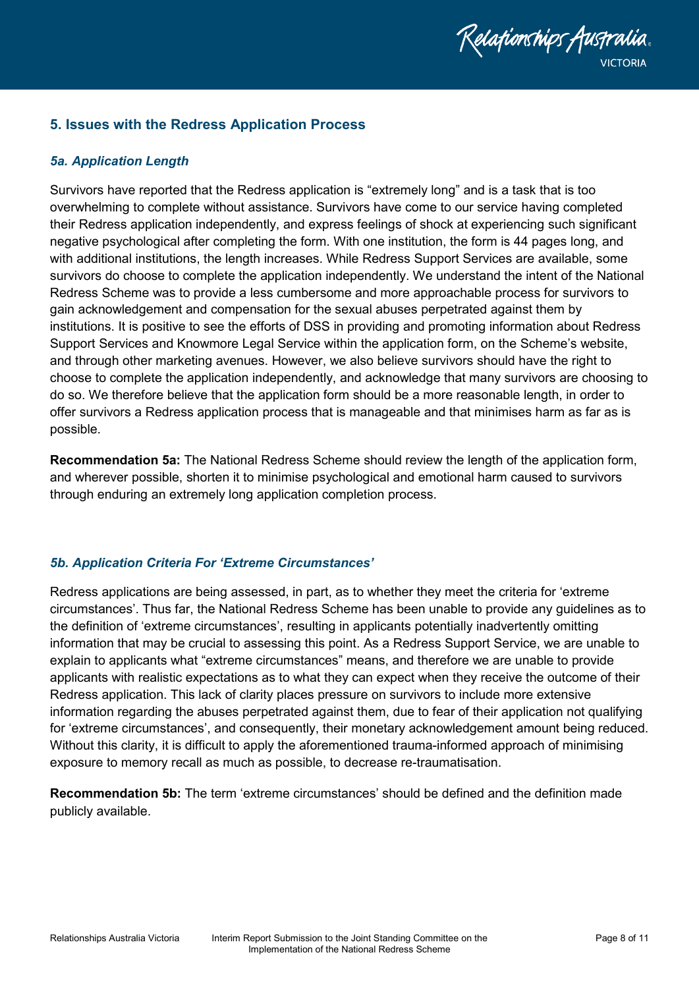

#### <span id="page-7-0"></span>**5. Issues with the Redress Application Process**

#### <span id="page-7-1"></span>*5a. Application Length*

Survivors have reported that the Redress application is "extremely long" and is a task that is too overwhelming to complete without assistance. Survivors have come to our service having completed their Redress application independently, and express feelings of shock at experiencing such significant negative psychological after completing the form. With one institution, the form is 44 pages long, and with additional institutions, the length increases. While Redress Support Services are available, some survivors do choose to complete the application independently. We understand the intent of the National Redress Scheme was to provide a less cumbersome and more approachable process for survivors to gain acknowledgement and compensation for the sexual abuses perpetrated against them by institutions. It is positive to see the efforts of DSS in providing and promoting information about Redress Support Services and Knowmore Legal Service within the application form, on the Scheme's website, and through other marketing avenues. However, we also believe survivors should have the right to choose to complete the application independently, and acknowledge that many survivors are choosing to do so. We therefore believe that the application form should be a more reasonable length, in order to offer survivors a Redress application process that is manageable and that minimises harm as far as is possible.

**Recommendation 5a:** The National Redress Scheme should review the length of the application form, and wherever possible, shorten it to minimise psychological and emotional harm caused to survivors through enduring an extremely long application completion process.

#### <span id="page-7-2"></span>*5b. Application Criteria For 'Extreme Circumstances'*

Redress applications are being assessed, in part, as to whether they meet the criteria for 'extreme circumstances'. Thus far, the National Redress Scheme has been unable to provide any guidelines as to the definition of 'extreme circumstances', resulting in applicants potentially inadvertently omitting information that may be crucial to assessing this point. As a Redress Support Service, we are unable to explain to applicants what "extreme circumstances" means, and therefore we are unable to provide applicants with realistic expectations as to what they can expect when they receive the outcome of their Redress application. This lack of clarity places pressure on survivors to include more extensive information regarding the abuses perpetrated against them, due to fear of their application not qualifying for 'extreme circumstances', and consequently, their monetary acknowledgement amount being reduced. Without this clarity, it is difficult to apply the aforementioned trauma-informed approach of minimising exposure to memory recall as much as possible, to decrease re-traumatisation.

**Recommendation 5b:** The term 'extreme circumstances' should be defined and the definition made publicly available.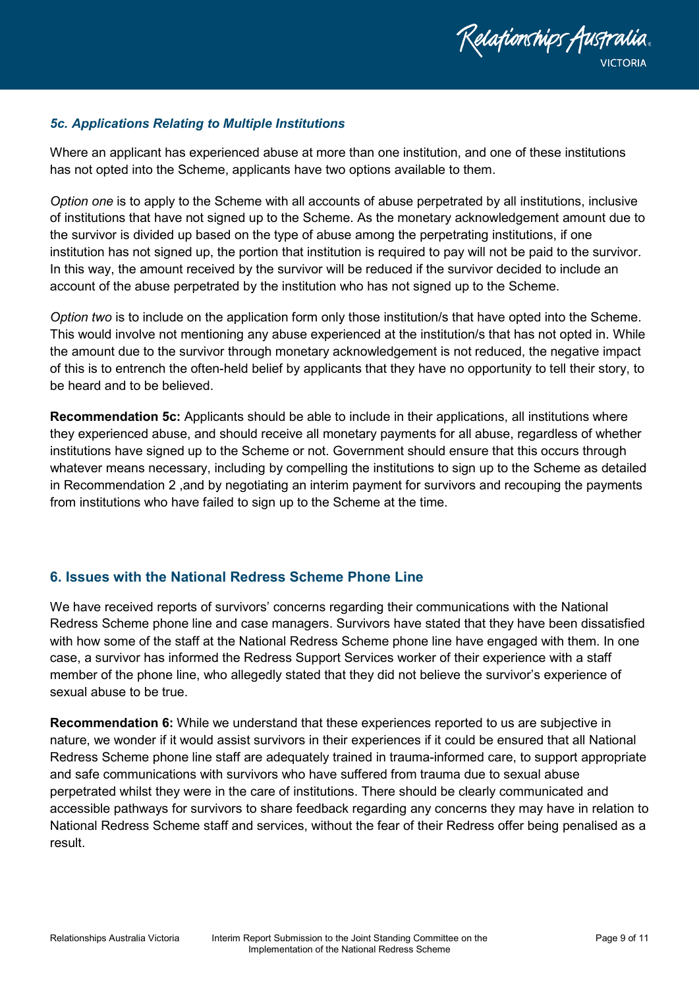

#### <span id="page-8-0"></span>*5c. Applications Relating to Multiple Institutions*

Where an applicant has experienced abuse at more than one institution, and one of these institutions has not opted into the Scheme, applicants have two options available to them.

*Option one* is to apply to the Scheme with all accounts of abuse perpetrated by all institutions, inclusive of institutions that have not signed up to the Scheme. As the monetary acknowledgement amount due to the survivor is divided up based on the type of abuse among the perpetrating institutions, if one institution has not signed up, the portion that institution is required to pay will not be paid to the survivor. In this way, the amount received by the survivor will be reduced if the survivor decided to include an account of the abuse perpetrated by the institution who has not signed up to the Scheme.

*Option two* is to include on the application form only those institution/s that have opted into the Scheme. This would involve not mentioning any abuse experienced at the institution/s that has not opted in. While the amount due to the survivor through monetary acknowledgement is not reduced, the negative impact of this is to entrench the often-held belief by applicants that they have no opportunity to tell their story, to be heard and to be believed.

**Recommendation 5c:** Applicants should be able to include in their applications, all institutions where they experienced abuse, and should receive all monetary payments for all abuse, regardless of whether institutions have signed up to the Scheme or not. Government should ensure that this occurs through whatever means necessary, including by compelling the institutions to sign up to the Scheme as detailed in Recommendation 2 ,and by negotiating an interim payment for survivors and recouping the payments from institutions who have failed to sign up to the Scheme at the time.

### <span id="page-8-1"></span>**6. Issues with the National Redress Scheme Phone Line**

We have received reports of survivors' concerns regarding their communications with the National Redress Scheme phone line and case managers. Survivors have stated that they have been dissatisfied with how some of the staff at the National Redress Scheme phone line have engaged with them. In one case, a survivor has informed the Redress Support Services worker of their experience with a staff member of the phone line, who allegedly stated that they did not believe the survivor's experience of sexual abuse to be true.

**Recommendation 6:** While we understand that these experiences reported to us are subjective in nature, we wonder if it would assist survivors in their experiences if it could be ensured that all National Redress Scheme phone line staff are adequately trained in trauma-informed care, to support appropriate and safe communications with survivors who have suffered from trauma due to sexual abuse perpetrated whilst they were in the care of institutions. There should be clearly communicated and accessible pathways for survivors to share feedback regarding any concerns they may have in relation to National Redress Scheme staff and services, without the fear of their Redress offer being penalised as a result.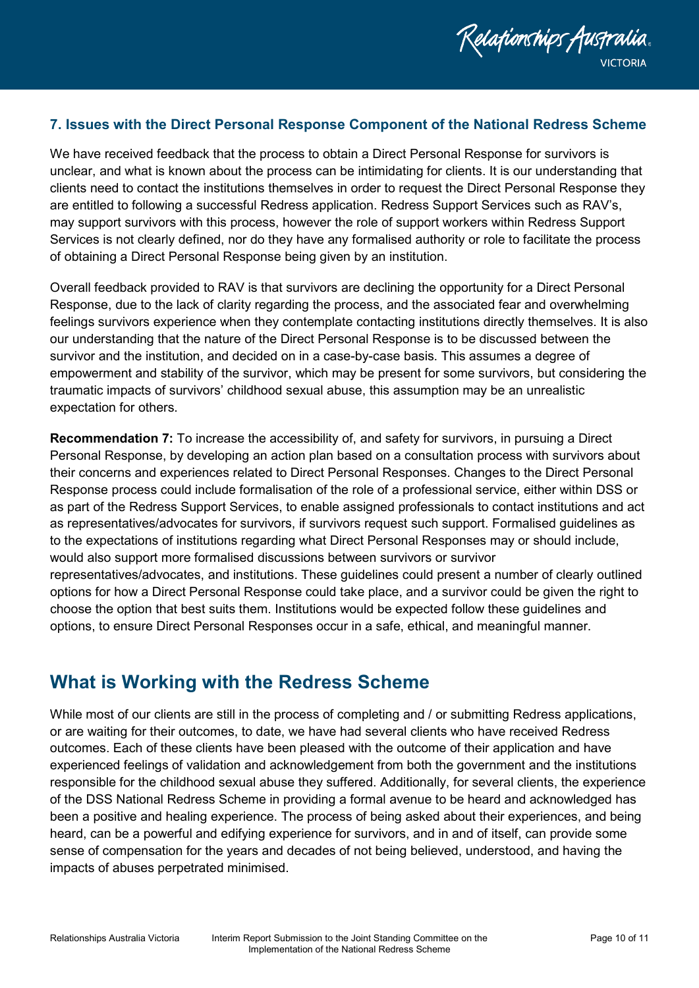

#### <span id="page-9-0"></span>**7. Issues with the Direct Personal Response Component of the National Redress Scheme**

We have received feedback that the process to obtain a Direct Personal Response for survivors is unclear, and what is known about the process can be intimidating for clients. It is our understanding that clients need to contact the institutions themselves in order to request the Direct Personal Response they are entitled to following a successful Redress application. Redress Support Services such as RAV's, may support survivors with this process, however the role of support workers within Redress Support Services is not clearly defined, nor do they have any formalised authority or role to facilitate the process of obtaining a Direct Personal Response being given by an institution.

Overall feedback provided to RAV is that survivors are declining the opportunity for a Direct Personal Response, due to the lack of clarity regarding the process, and the associated fear and overwhelming feelings survivors experience when they contemplate contacting institutions directly themselves. It is also our understanding that the nature of the Direct Personal Response is to be discussed between the survivor and the institution, and decided on in a case-by-case basis. This assumes a degree of empowerment and stability of the survivor, which may be present for some survivors, but considering the traumatic impacts of survivors' childhood sexual abuse, this assumption may be an unrealistic expectation for others.

**Recommendation 7:** To increase the accessibility of, and safety for survivors, in pursuing a Direct Personal Response, by developing an action plan based on a consultation process with survivors about their concerns and experiences related to Direct Personal Responses. Changes to the Direct Personal Response process could include formalisation of the role of a professional service, either within DSS or as part of the Redress Support Services, to enable assigned professionals to contact institutions and act as representatives/advocates for survivors, if survivors request such support. Formalised guidelines as to the expectations of institutions regarding what Direct Personal Responses may or should include, would also support more formalised discussions between survivors or survivor representatives/advocates, and institutions. These guidelines could present a number of clearly outlined options for how a Direct Personal Response could take place, and a survivor could be given the right to choose the option that best suits them. Institutions would be expected follow these guidelines and options, to ensure Direct Personal Responses occur in a safe, ethical, and meaningful manner.

### <span id="page-9-1"></span>**What is Working with the Redress Scheme**

While most of our clients are still in the process of completing and / or submitting Redress applications, or are waiting for their outcomes, to date, we have had several clients who have received Redress outcomes. Each of these clients have been pleased with the outcome of their application and have experienced feelings of validation and acknowledgement from both the government and the institutions responsible for the childhood sexual abuse they suffered. Additionally, for several clients, the experience of the DSS National Redress Scheme in providing a formal avenue to be heard and acknowledged has been a positive and healing experience. The process of being asked about their experiences, and being heard, can be a powerful and edifying experience for survivors, and in and of itself, can provide some sense of compensation for the years and decades of not being believed, understood, and having the impacts of abuses perpetrated minimised.